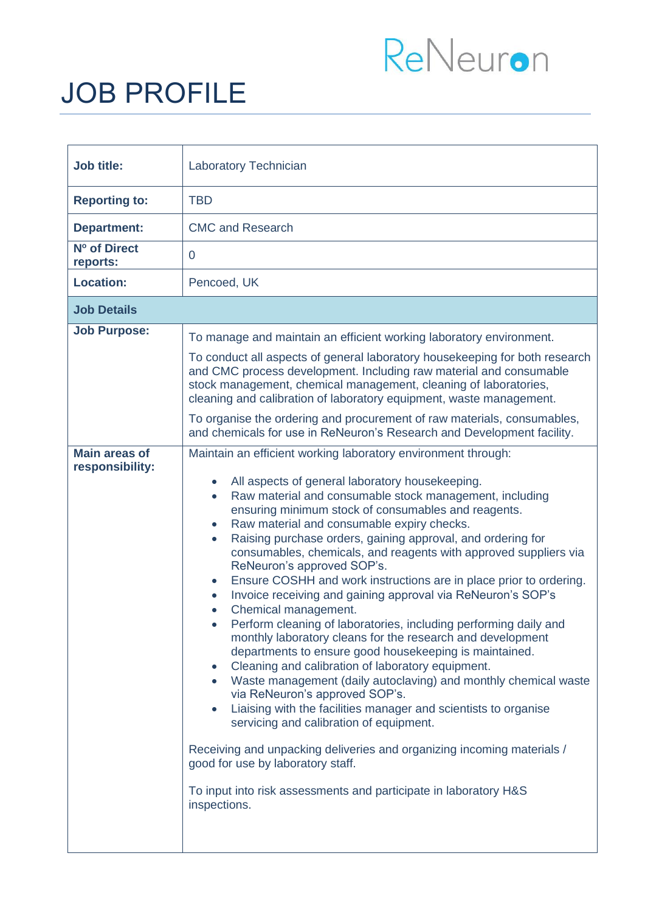## ReNeuron

## JOB PROFILE

| <b>Job title:</b>                                              | <b>Laboratory Technician</b>                                                                                                                                                                                                                                                                                                                                                                                                                                                                                                                                                                                                                                                                                                                                                                                                                                                                                                                                                                                                                                                                                                                                                                                                                                                                                                                                                                                                                                                                                                                                                                                                                                                                                                                                                                                                                                                    |  |
|----------------------------------------------------------------|---------------------------------------------------------------------------------------------------------------------------------------------------------------------------------------------------------------------------------------------------------------------------------------------------------------------------------------------------------------------------------------------------------------------------------------------------------------------------------------------------------------------------------------------------------------------------------------------------------------------------------------------------------------------------------------------------------------------------------------------------------------------------------------------------------------------------------------------------------------------------------------------------------------------------------------------------------------------------------------------------------------------------------------------------------------------------------------------------------------------------------------------------------------------------------------------------------------------------------------------------------------------------------------------------------------------------------------------------------------------------------------------------------------------------------------------------------------------------------------------------------------------------------------------------------------------------------------------------------------------------------------------------------------------------------------------------------------------------------------------------------------------------------------------------------------------------------------------------------------------------------|--|
| <b>Reporting to:</b>                                           | <b>TBD</b>                                                                                                                                                                                                                                                                                                                                                                                                                                                                                                                                                                                                                                                                                                                                                                                                                                                                                                                                                                                                                                                                                                                                                                                                                                                                                                                                                                                                                                                                                                                                                                                                                                                                                                                                                                                                                                                                      |  |
| <b>Department:</b>                                             | <b>CMC and Research</b>                                                                                                                                                                                                                                                                                                                                                                                                                                                                                                                                                                                                                                                                                                                                                                                                                                                                                                                                                                                                                                                                                                                                                                                                                                                                                                                                                                                                                                                                                                                                                                                                                                                                                                                                                                                                                                                         |  |
| N° of Direct<br>reports:                                       | $\overline{0}$                                                                                                                                                                                                                                                                                                                                                                                                                                                                                                                                                                                                                                                                                                                                                                                                                                                                                                                                                                                                                                                                                                                                                                                                                                                                                                                                                                                                                                                                                                                                                                                                                                                                                                                                                                                                                                                                  |  |
| <b>Location:</b>                                               | Pencoed, UK                                                                                                                                                                                                                                                                                                                                                                                                                                                                                                                                                                                                                                                                                                                                                                                                                                                                                                                                                                                                                                                                                                                                                                                                                                                                                                                                                                                                                                                                                                                                                                                                                                                                                                                                                                                                                                                                     |  |
| <b>Job Details</b>                                             |                                                                                                                                                                                                                                                                                                                                                                                                                                                                                                                                                                                                                                                                                                                                                                                                                                                                                                                                                                                                                                                                                                                                                                                                                                                                                                                                                                                                                                                                                                                                                                                                                                                                                                                                                                                                                                                                                 |  |
| <b>Job Purpose:</b><br><b>Main areas of</b><br>responsibility: | To manage and maintain an efficient working laboratory environment.<br>To conduct all aspects of general laboratory housekeeping for both research<br>and CMC process development. Including raw material and consumable<br>stock management, chemical management, cleaning of laboratories,<br>cleaning and calibration of laboratory equipment, waste management.<br>To organise the ordering and procurement of raw materials, consumables,<br>and chemicals for use in ReNeuron's Research and Development facility.<br>Maintain an efficient working laboratory environment through:<br>All aspects of general laboratory housekeeping.<br>Raw material and consumable stock management, including<br>$\bullet$<br>ensuring minimum stock of consumables and reagents.<br>Raw material and consumable expiry checks.<br>Raising purchase orders, gaining approval, and ordering for<br>$\bullet$<br>consumables, chemicals, and reagents with approved suppliers via<br>ReNeuron's approved SOP's.<br>Ensure COSHH and work instructions are in place prior to ordering.<br>Invoice receiving and gaining approval via ReNeuron's SOP's<br>$\bullet$<br>Chemical management.<br>Perform cleaning of laboratories, including performing daily and<br>monthly laboratory cleans for the research and development<br>departments to ensure good housekeeping is maintained.<br>Cleaning and calibration of laboratory equipment.<br>$\bullet$<br>Waste management (daily autoclaving) and monthly chemical waste<br>$\bullet$<br>via ReNeuron's approved SOP's.<br>Liaising with the facilities manager and scientists to organise<br>$\bullet$<br>servicing and calibration of equipment.<br>Receiving and unpacking deliveries and organizing incoming materials /<br>good for use by laboratory staff.<br>To input into risk assessments and participate in laboratory H&S |  |
|                                                                | inspections.                                                                                                                                                                                                                                                                                                                                                                                                                                                                                                                                                                                                                                                                                                                                                                                                                                                                                                                                                                                                                                                                                                                                                                                                                                                                                                                                                                                                                                                                                                                                                                                                                                                                                                                                                                                                                                                                    |  |